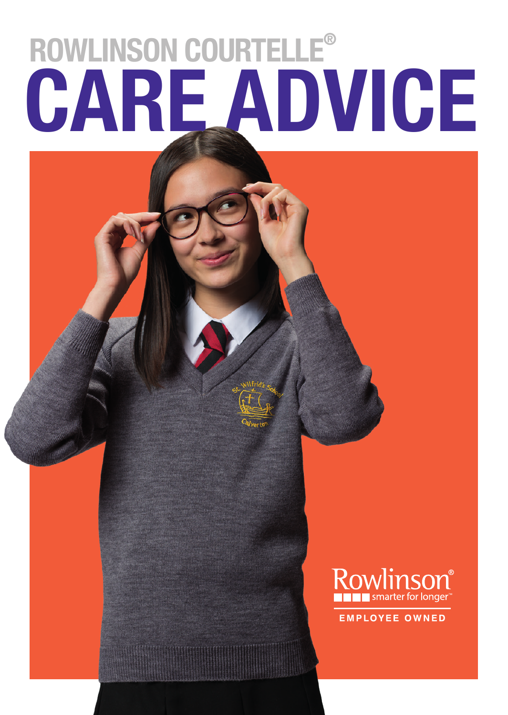# **CARE ADVICE ROWLINSON COURTELLE®**



**EMPLOYEE OWNED**